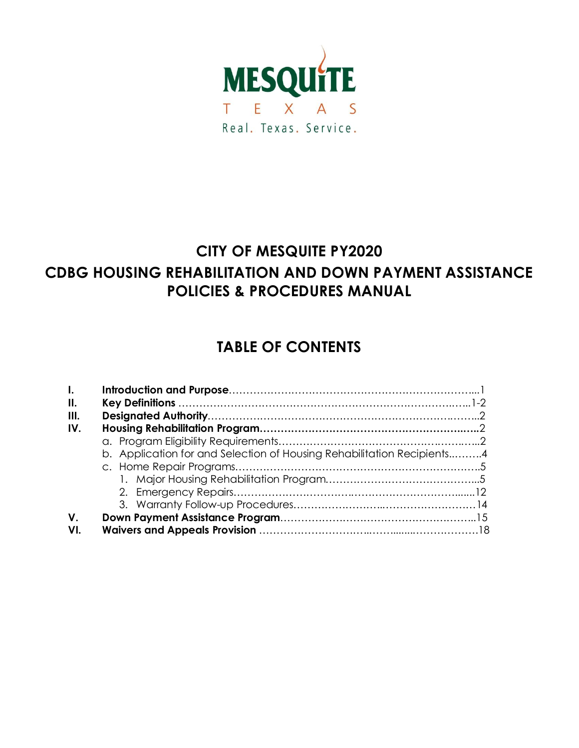

# **CITY OF MESQUITE PY2020 CDBG HOUSING REHABILITATION AND DOWN PAYMENT ASSISTANCE POLICIES & PROCEDURES MANUAL**

# **TABLE OF CONTENTS**

| $\mathbf{L}$ |                                                                        |  |  |  |  |  |
|--------------|------------------------------------------------------------------------|--|--|--|--|--|
| II.          |                                                                        |  |  |  |  |  |
| III.         |                                                                        |  |  |  |  |  |
| IV.          |                                                                        |  |  |  |  |  |
|              |                                                                        |  |  |  |  |  |
|              | b. Application for and Selection of Housing Rehabilitation Recipients4 |  |  |  |  |  |
|              |                                                                        |  |  |  |  |  |
|              |                                                                        |  |  |  |  |  |
|              |                                                                        |  |  |  |  |  |
|              |                                                                        |  |  |  |  |  |
| $V_{\cdot}$  |                                                                        |  |  |  |  |  |
| VI.          |                                                                        |  |  |  |  |  |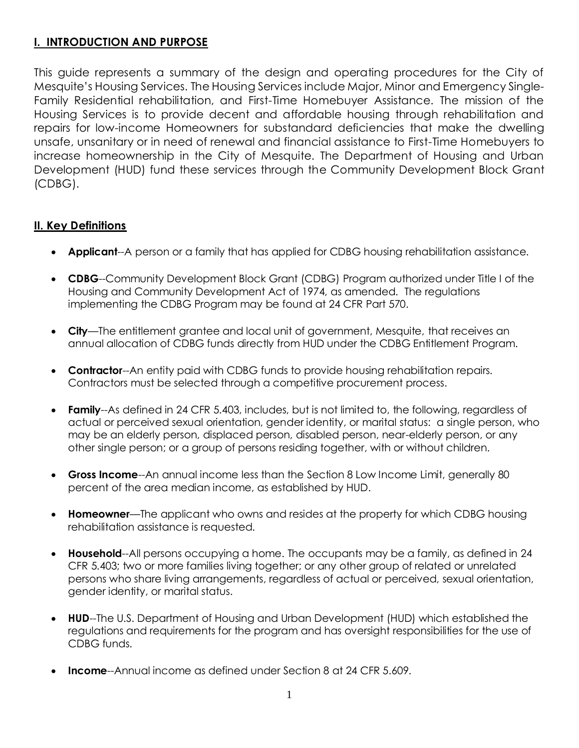# **I. INTRODUCTION AND PURPOSE**

This guide represents a summary of the design and operating procedures for the City of Mesquite's Housing Services. The Housing Services include Major, Minor and Emergency Single-Family Residential rehabilitation, and First-Time Homebuyer Assistance. The mission of the Housing Services is to provide decent and affordable housing through rehabilitation and repairs for low-income Homeowners for substandard deficiencies that make the dwelling unsafe, unsanitary or in need of renewal and financial assistance to First-Time Homebuyers to increase homeownership in the City of Mesquite. The Department of Housing and Urban Development (HUD) fund these services through the Community Development Block Grant (CDBG).

# **II. Key Definitions**

- **Applicant**--A person or a family that has applied for CDBG housing rehabilitation assistance.
- **CDBG**--Community Development Block Grant (CDBG) Program authorized under Title I of the Housing and Community Development Act of 1974, as amended. The regulations implementing the CDBG Program may be found at 24 CFR Part 570.
- **City**—The entitlement grantee and local unit of government, Mesquite, that receives an annual allocation of CDBG funds directly from HUD under the CDBG Entitlement Program.
- **Contractor--**An entity paid with CDBG funds to provide housing rehabilitation repairs. Contractors must be selected through a competitive procurement process.
- **Family**--As defined in 24 CFR 5.403, includes, but is not limited to, the following, regardless of actual or perceived sexual orientation, gender identity, or marital status: a single person, who may be an elderly person, displaced person, disabled person, near-elderly person, or any other single person; or a group of persons residing together, with or without children.
- **Gross Income**--An annual income less than the Section 8 Low Income Limit, generally 80 percent of the area median income, as established by HUD.
- **Homeowner**—The applicant who owns and resides at the property for which CDBG housing rehabilitation assistance is requested.
- **Household**--All persons occupying a home. The occupants may be a family, as defined in 24 CFR 5.403; two or more families living together; or any other group of related or unrelated persons who share living arrangements, regardless of actual or perceived, sexual orientation, gender identity, or marital status.
- **HUD**--The U.S. Department of Housing and Urban Development (HUD) which established the regulations and requirements for the program and has oversight responsibilities for the use of CDBG funds.
- **Income**--Annual income as defined under Section 8 at 24 CFR 5.609.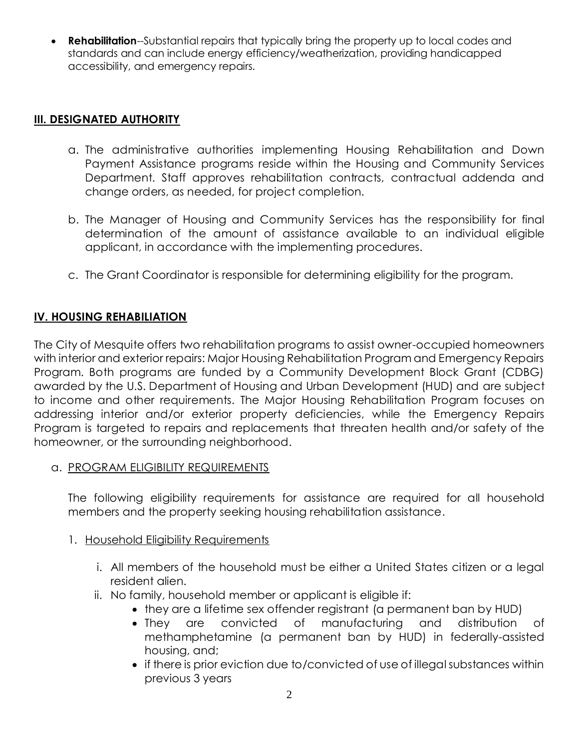**Rehabilitation--Substantial repairs that typically bring the property up to local codes and** standards and can include energy efficiency/weatherization, providing handicapped accessibility, and emergency repairs.

# **III. DESIGNATED AUTHORITY**

- a. The administrative authorities implementing Housing Rehabilitation and Down Payment Assistance programs reside within the Housing and Community Services Department. Staff approves rehabilitation contracts, contractual addenda and change orders, as needed, for project completion.
- b. The Manager of Housing and Community Services has the responsibility for final determination of the amount of assistance available to an individual eligible applicant, in accordance with the implementing procedures.
- c. The Grant Coordinator is responsible for determining eligibility for the program.

# **IV. HOUSING REHABILIATION**

The City of Mesquite offers two rehabilitation programs to assist owner-occupied homeowners with interior and exterior repairs: Major Housing Rehabilitation Program and Emergency Repairs Program. Both programs are funded by a Community Development Block Grant (CDBG) awarded by the U.S. Department of Housing and Urban Development (HUD) and are subject to income and other requirements. The Major Housing Rehabilitation Program focuses on addressing interior and/or exterior property deficiencies, while the Emergency Repairs Program is targeted to repairs and replacements that threaten health and/or safety of the homeowner, or the surrounding neighborhood.

a. PROGRAM ELIGIBILITY REQUIREMENTS

The following eligibility requirements for assistance are required for all household members and the property seeking housing rehabilitation assistance.

- 1. Household Eligibility Requirements
	- i. All members of the household must be either a United States citizen or a legal resident alien.
	- ii. No family, household member or applicant is eligible if:
		- they are a lifetime sex offender registrant (a permanent ban by HUD)
		- They are convicted of manufacturing and distribution of methamphetamine (a permanent ban by HUD) in federally-assisted housing, and;
		- if there is prior eviction due to/convicted of use of illegal substances within previous 3 years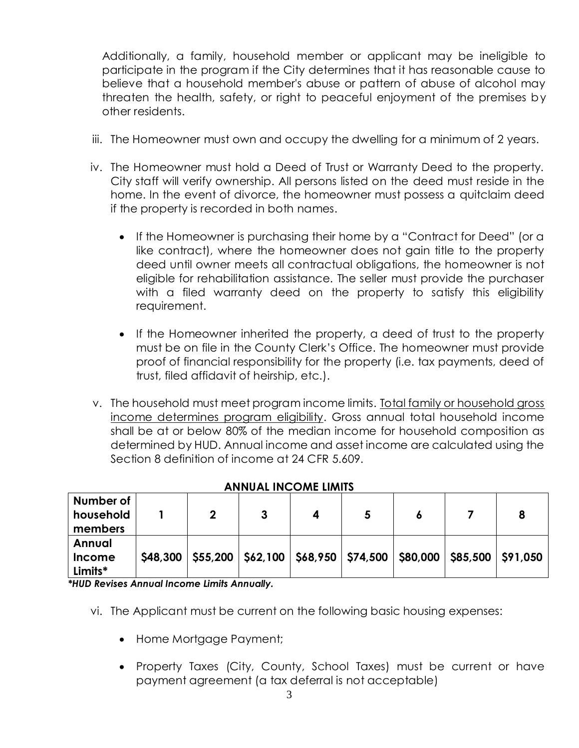Additionally, a family, household member or applicant may be ineligible to participate in the program if the City determines that it has reasonable cause to believe that a household member's abuse or pattern of abuse of alcohol may threaten the health, safety, or right to peaceful enjoyment of the premises by other residents.

- iii. The Homeowner must own and occupy the dwelling for a minimum of 2 years.
- iv. The Homeowner must hold a Deed of Trust or Warranty Deed to the property. City staff will verify ownership. All persons listed on the deed must reside in the home. In the event of divorce, the homeowner must possess a quitclaim deed if the property is recorded in both names.
	- If the Homeowner is purchasing their home by a "Contract for Deed" (or a like contract), where the homeowner does not gain title to the property deed until owner meets all contractual obligations, the homeowner is not eligible for rehabilitation assistance. The seller must provide the purchaser with a filed warranty deed on the property to satisfy this eligibility requirement.
	- If the Homeowner inherited the property, a deed of trust to the property must be on file in the County Clerk's Office. The homeowner must provide proof of financial responsibility for the property (i.e. tax payments, deed of trust, filed affidavit of heirship, etc.).
- v. The household must meet program income limits. Total family or household gross income determines program eligibility. Gross annual total household income shall be at or below 80% of the median income for household composition as determined by HUD. Annual income and asset income are calculated using the Section 8 definition of income at 24 CFR 5.609.

| Number of<br>household<br>members  |          |  |  |  |                                                                            |
|------------------------------------|----------|--|--|--|----------------------------------------------------------------------------|
| Annual<br><b>Income</b><br>Limits* | \$48,300 |  |  |  | \$55,200   \$62,100   \$68,950   \$74,500   \$80,000   \$85,500   \$91,050 |

#### **ANNUAL INCOME LIMITS**

*\*HUD Revises Annual Income Limits Annually.*

- vi. The Applicant must be current on the following basic housing expenses:
	- Home Mortgage Payment;
	- Property Taxes (City, County, School Taxes) must be current or have payment agreement (a tax deferral is not acceptable)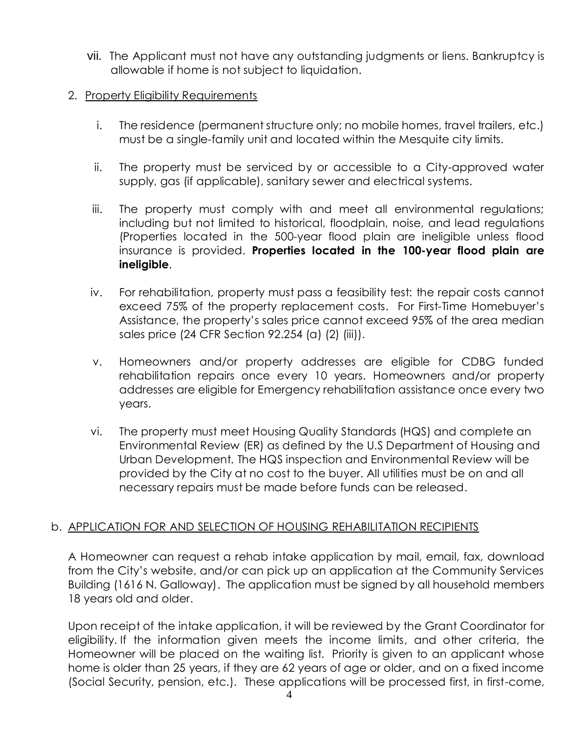vii. The Applicant must not have any outstanding judgments or liens. Bankruptcy is allowable if home is not subject to liquidation.

#### 2. Property Eligibility Requirements

- i. The residence (permanent structure only; no mobile homes, travel trailers, etc.) must be a single-family unit and located within the Mesquite city limits.
- ii. The property must be serviced by or accessible to a City-approved water supply, gas (if applicable), sanitary sewer and electrical systems.
- iii. The property must comply with and meet all environmental regulations; including but not limited to historical, floodplain, noise, and lead regulations (Properties located in the 500-year flood plain are ineligible unless flood insurance is provided. **Properties located in the 100-year flood plain are ineligible**.
- iv. For rehabilitation, property must pass a feasibility test: the repair costs cannot exceed 75% of the property replacement costs. For First-Time Homebuyer's Assistance, the property's sales price cannot exceed 95% of the area median sales price (24 CFR Section 92.254 (a) (2) (iii)).
- v. Homeowners and/or property addresses are eligible for CDBG funded rehabilitation repairs once every 10 years. Homeowners and/or property addresses are eligible for Emergency rehabilitation assistance once every two years.
- vi. The property must meet Housing Quality Standards (HQS) and complete an Environmental Review (ER) as defined by the U.S Department of Housing and Urban Development. The HQS inspection and Environmental Review will be provided by the City at no cost to the buyer. All utilities must be on and all necessary repairs must be made before funds can be released.

# b. APPLICATION FOR AND SELECTION OF HOUSING REHABILITATION RECIPIENTS

A Homeowner can request a rehab intake application by mail, email, fax, download from the City's website, and/or can pick up an application at the Community Services Building (1616 N. Galloway). The application must be signed by all household members 18 years old and older.

Upon receipt of the intake application, it will be reviewed by the Grant Coordinator for eligibility. If the information given meets the income limits, and other criteria, the Homeowner will be placed on the waiting list. Priority is given to an applicant whose home is older than 25 years, if they are 62 years of age or older, and on a fixed income (Social Security, pension, etc.). These applications will be processed first, in first-come,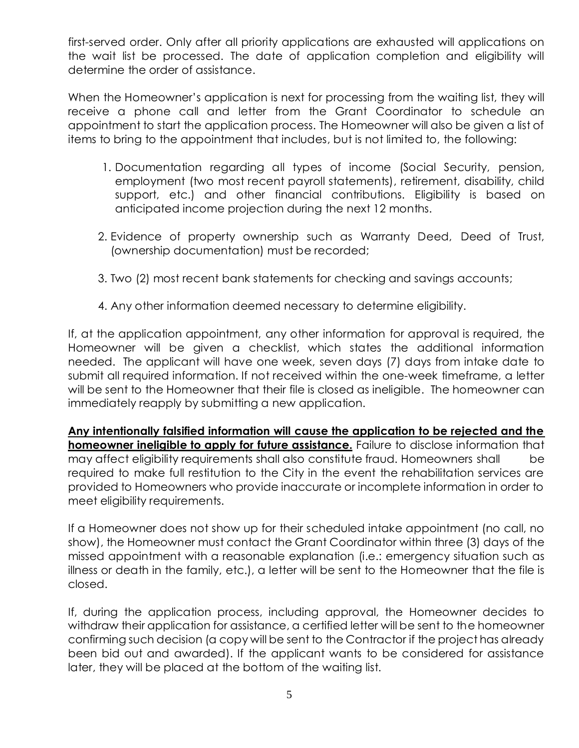first-served order. Only after all priority applications are exhausted will applications on the wait list be processed. The date of application completion and eligibility will determine the order of assistance.

When the Homeowner's application is next for processing from the waiting list, they will receive a phone call and letter from the Grant Coordinator to schedule an appointment to start the application process. The Homeowner will also be given a list of items to bring to the appointment that includes, but is not limited to, the following:

- 1. Documentation regarding all types of income (Social Security, pension, employment (two most recent payroll statements), retirement, disability, child support, etc.) and other financial contributions. Eligibility is based on anticipated income projection during the next 12 months.
- 2. Evidence of property ownership such as Warranty Deed, Deed of Trust, (ownership documentation) must be recorded;
- 3. Two (2) most recent bank statements for checking and savings accounts;
- 4. Any other information deemed necessary to determine eligibility.

If, at the application appointment, any other information for approval is required, the Homeowner will be given a checklist, which states the additional information needed. The applicant will have one week, seven days (7) days from intake date to submit all required information. If not received within the one-week timeframe, a letter will be sent to the Homeowner that their file is closed as ineligible. The homeowner can immediately reapply by submitting a new application.

**Any intentionally falsified information will cause the application to be rejected and the homeowner ineligible to apply for future assistance.** Failure to disclose information that may affect eligibility requirements shall also constitute fraud. Homeowners shall be required to make full restitution to the City in the event the rehabilitation services are provided to Homeowners who provide inaccurate or incomplete information in order to meet eligibility requirements.

If a Homeowner does not show up for their scheduled intake appointment (no call, no show), the Homeowner must contact the Grant Coordinator within three (3) days of the missed appointment with a reasonable explanation (i.e.: emergency situation such as illness or death in the family, etc.), a letter will be sent to the Homeowner that the file is closed.

If, during the application process, including approval, the Homeowner decides to withdraw their application for assistance, a certified letter will be sent to the homeowner confirming such decision (a copy will be sent to the Contractor if the project has already been bid out and awarded). If the applicant wants to be considered for assistance later, they will be placed at the bottom of the waiting list.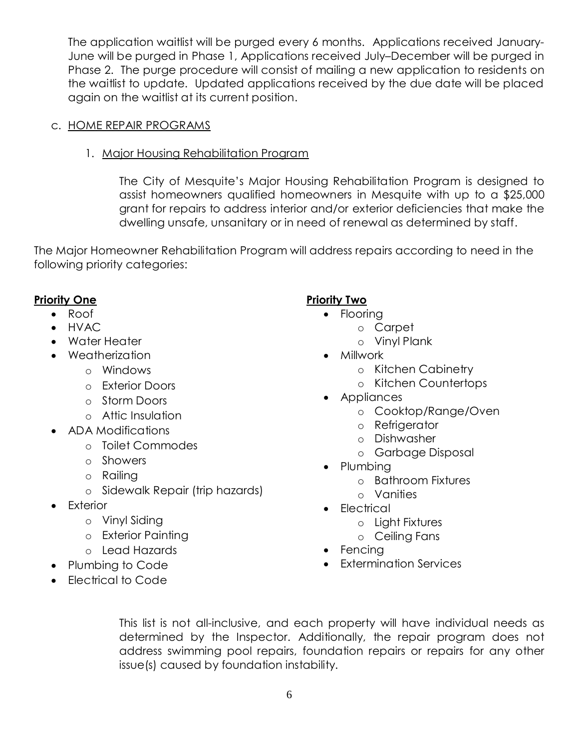The application waitlist will be purged every 6 months. Applications received January-June will be purged in Phase 1, Applications received July–December will be purged in Phase 2. The purge procedure will consist of mailing a new application to residents on the waitlist to update. Updated applications received by the due date will be placed again on the waitlist at its current position.

- c. HOME REPAIR PROGRAMS
	- 1. Major Housing Rehabilitation Program

The City of Mesquite's Major Housing Rehabilitation Program is designed to assist homeowners qualified homeowners in Mesquite with up to a \$25,000 grant for repairs to address interior and/or exterior deficiencies that make the dwelling unsafe, unsanitary or in need of renewal as determined by staff.

The Major Homeowner Rehabilitation Program will address repairs according to need in the following priority categories:

# **Priority One**

- Roof
- HVAC
- Water Heater
- Weatherization
	- o Windows
	- o Exterior Doors
	- o Storm Doors
	- o Attic Insulation
- ADA Modifications
	- o Toilet Commodes
	- o Showers
	- o Railing
	- o Sidewalk Repair (trip hazards)
- **Exterior** 
	- o Vinyl Siding
	- o Exterior Painting
	- o Lead Hazards
- Plumbing to Code
- Electrical to Code

# **Priority Two**

- Flooring
	- o Carpet
	- o Vinyl Plank
- Millwork
	- o Kitchen Cabinetry
	- o Kitchen Countertops
- Appliances
	- o Cooktop/Range/Oven
	- o Refrigerator
	- o Dishwasher
	- o Garbage Disposal
- Plumbing
	- o Bathroom Fixtures
	- o Vanities
	- Electrical
		- o Light Fixtures
		- o Ceiling Fans
	- Fencing
	- Extermination Services

This list is not all-inclusive, and each property will have individual needs as determined by the Inspector. Additionally, the repair program does not address swimming pool repairs, foundation repairs or repairs for any other issue(s) caused by foundation instability.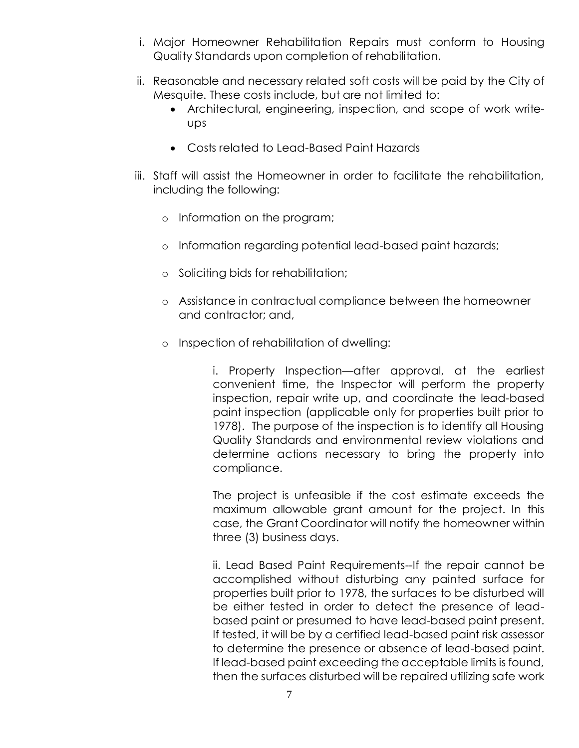- i. Major Homeowner Rehabilitation Repairs must conform to Housing Quality Standards upon completion of rehabilitation.
- ii. Reasonable and necessary related soft costs will be paid by the City of Mesquite. These costs include, but are not limited to:
	- Architectural, engineering, inspection, and scope of work writeups
	- Costs related to Lead-Based Paint Hazards
- iii. Staff will assist the Homeowner in order to facilitate the rehabilitation, including the following:
	- o Information on the program;
	- o Information regarding potential lead-based paint hazards;
	- o Soliciting bids for rehabilitation;
	- o Assistance in contractual compliance between the homeowner and contractor; and,
	- o Inspection of rehabilitation of dwelling:

i. Property Inspection—after approval, at the earliest convenient time, the Inspector will perform the property inspection, repair write up, and coordinate the lead-based paint inspection (applicable only for properties built prior to 1978). The purpose of the inspection is to identify all Housing Quality Standards and environmental review violations and determine actions necessary to bring the property into compliance.

The project is unfeasible if the cost estimate exceeds the maximum allowable grant amount for the project. In this case, the Grant Coordinator will notify the homeowner within three (3) business days.

ii. Lead Based Paint Requirements--If the repair cannot be accomplished without disturbing any painted surface for properties built prior to 1978, the surfaces to be disturbed will be either tested in order to detect the presence of leadbased paint or presumed to have lead-based paint present. If tested, it will be by a certified lead-based paint risk assessor to determine the presence or absence of lead-based paint. If lead-based paint exceeding the acceptable limits is found, then the surfaces disturbed will be repaired utilizing safe work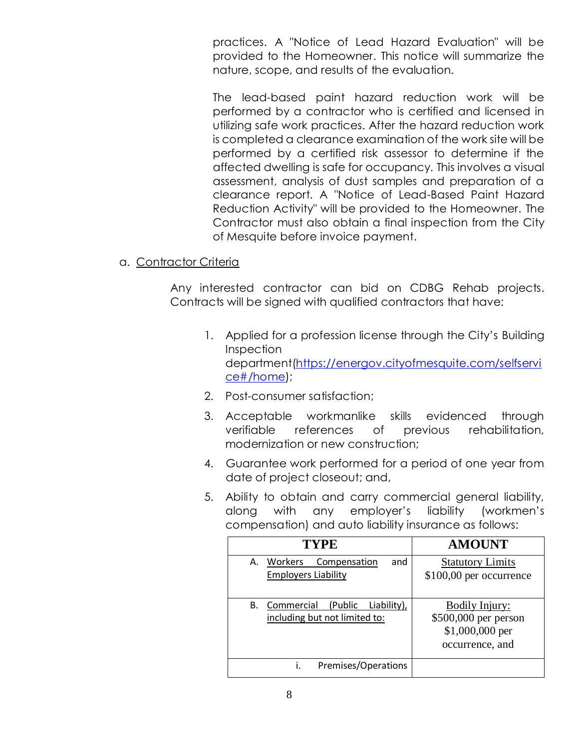practices. A "Notice of Lead Hazard Evaluation" will be provided to the Homeowner. This notice will summarize the nature, scope, and results of the evaluation.

The lead-based paint hazard reduction work will be performed by a contractor who is certified and licensed in utilizing safe work practices. After the hazard reduction work is completed a clearance examination of the work site will be performed by a certified risk assessor to determine if the affected dwelling is safe for occupancy. This involves a visual assessment, analysis of dust samples and preparation of a clearance report. A "Notice of Lead-Based Paint Hazard Reduction Activity" will be provided to the Homeowner. The Contractor must also obtain a final inspection from the City of Mesquite before invoice payment.

#### a. Contractor Criteria

Any interested contractor can bid on CDBG Rehab projects. Contracts will be signed with qualified contractors that have:

- 1. Applied for a profession license through the City's Building **Inspection** department[\(https://energov.cityofmesquite.com/selfservi](https://energov.cityofmesquite.com/selfservice#/home) [ce#/home\)](https://energov.cityofmesquite.com/selfservice#/home);
- 2. Post-consumer satisfaction;
- 3. Acceptable workmanlike skills evidenced through verifiable references of previous rehabilitation, modernization or new construction;
- 4. Guarantee work performed for a period of one year from date of project closeout; and,
- 5. Ability to obtain and carry commercial general liability, along with any employer's liability (workmen's compensation) and auto liability insurance as follows:

| <b>TYPE</b>                                                                  | <b>AMOUNT</b>                                                                       |
|------------------------------------------------------------------------------|-------------------------------------------------------------------------------------|
| A. Workers<br>and<br>Compensation<br><b>Employers Liability</b>              | <b>Statutory Limits</b><br>\$100,00 per occurrence                                  |
| Commercial<br>(Public)<br>В.<br>Liability),<br>including but not limited to: | <b>Bodily Injury:</b><br>\$500,000 per person<br>\$1,000,000 per<br>occurrence, and |
| Premises/Operations<br>İ.                                                    |                                                                                     |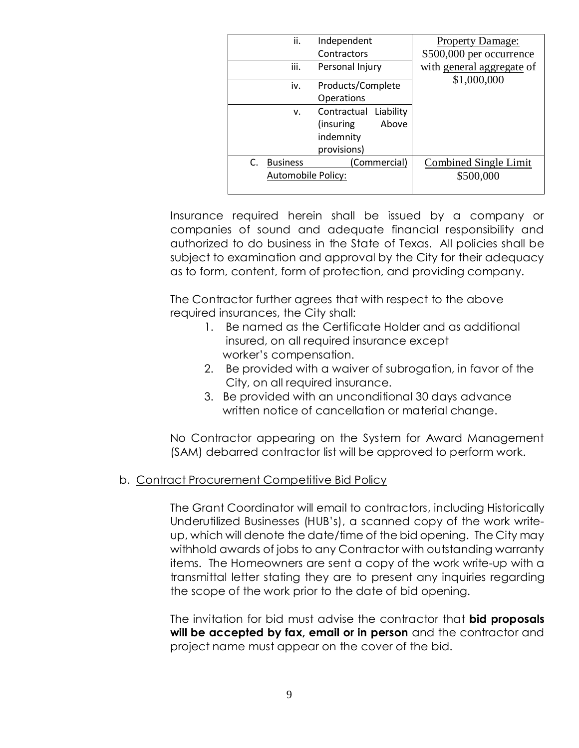| ii.                                         | Independent                                                                 | <b>Property Damage:</b>                   |
|---------------------------------------------|-----------------------------------------------------------------------------|-------------------------------------------|
|                                             | Contractors                                                                 | \$500,000 per occurrence                  |
| iii.                                        | Personal Injury                                                             | with general aggregate of                 |
| iv.                                         | Products/Complete                                                           | \$1,000,000                               |
|                                             | Operations                                                                  |                                           |
| v.                                          | Contractual<br>Liability<br>Above<br>(insuring)<br>indemnity<br>provisions) |                                           |
| <b>Business</b><br>C.<br>Automobile Policy: | (Commercial)                                                                | <b>Combined Single Limit</b><br>\$500,000 |

Insurance required herein shall be issued by a company or companies of sound and adequate financial responsibility and authorized to do business in the State of Texas. All policies shall be subject to examination and approval by the City for their adequacy as to form, content, form of protection, and providing company.

The Contractor further agrees that with respect to the above required insurances, the City shall:

- 1. Be named as the Certificate Holder and as additional insured, on all required insurance except worker's compensation.
- 2. Be provided with a waiver of subrogation, in favor of the City, on all required insurance.
- 3. Be provided with an unconditional 30 days advance written notice of cancellation or material change.

No Contractor appearing on the System for Award Management (SAM) debarred contractor list will be approved to perform work.

# b. Contract Procurement Competitive Bid Policy

The Grant Coordinator will email to contractors, including Historically Underutilized Businesses (HUB's), a scanned copy of the work writeup, which will denote the date/time of the bid opening. The City may withhold awards of jobs to any Contractor with outstanding warranty items. The Homeowners are sent a copy of the work write-up with a transmittal letter stating they are to present any inquiries regarding the scope of the work prior to the date of bid opening.

The invitation for bid must advise the contractor that **bid proposals will be accepted by fax, email or in person** and the contractor and project name must appear on the cover of the bid.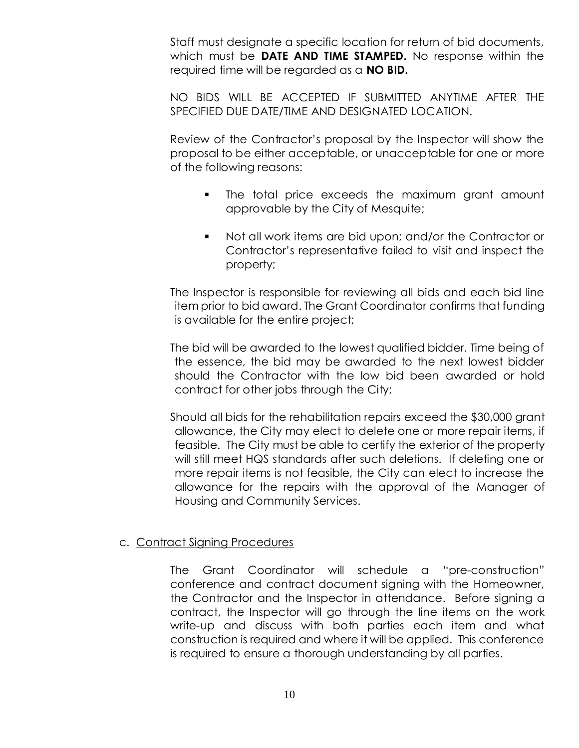Staff must designate a specific location for return of bid documents, which must be **DATE AND TIME STAMPED.** No response within the required time will be regarded as a **NO BID.**

NO BIDS WILL BE ACCEPTED IF SUBMITTED ANYTIME AFTER THE SPECIFIED DUE DATE/TIME AND DESIGNATED LOCATION.

Review of the Contractor's proposal by the Inspector will show the proposal to be either acceptable, or unacceptable for one or more of the following reasons:

- **The total price exceeds the maximum grant amount** approvable by the City of Mesquite;
- Not all work items are bid upon; and/or the Contractor or Contractor's representative failed to visit and inspect the property;

The Inspector is responsible for reviewing all bids and each bid line item prior to bid award. The Grant Coordinator confirms that funding is available for the entire project;

The bid will be awarded to the lowest qualified bidder. Time being of the essence, the bid may be awarded to the next lowest bidder should the Contractor with the low bid been awarded or hold contract for other jobs through the City;

Should all bids for the rehabilitation repairs exceed the \$30,000 grant allowance, the City may elect to delete one or more repair items, if feasible. The City must be able to certify the exterior of the property will still meet HQS standards after such deletions. If deleting one or more repair items is not feasible, the City can elect to increase the allowance for the repairs with the approval of the Manager of Housing and Community Services.

#### c. Contract Signing Procedures

The Grant Coordinator will schedule a "pre-construction" conference and contract document signing with the Homeowner, the Contractor and the Inspector in attendance. Before signing a contract, the Inspector will go through the line items on the work write-up and discuss with both parties each item and what construction is required and where it will be applied. This conference is required to ensure a thorough understanding by all parties.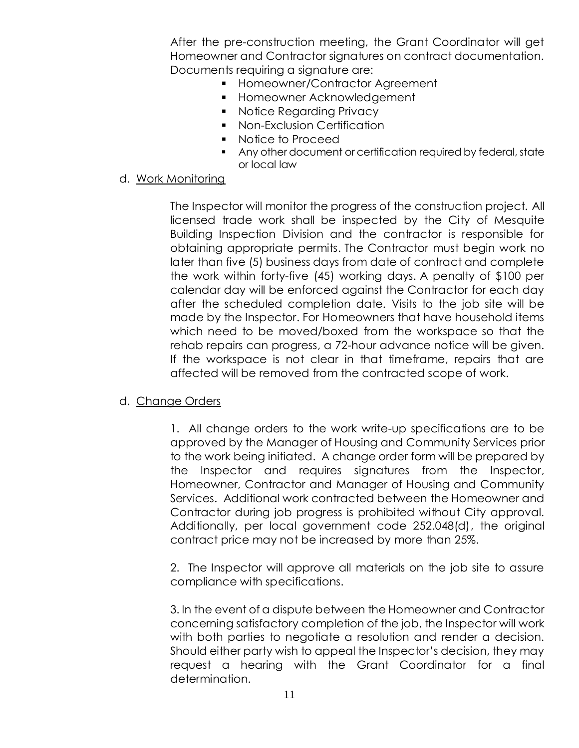After the pre-construction meeting, the Grant Coordinator will get Homeowner and Contractor signatures on contract documentation. Documents requiring a signature are:

- **Homeowner/Contractor Agreement**
- **Homeowner Acknowledgement**
- **Notice Regarding Privacy**
- **Non-Exclusion Certification**
- Notice to Proceed
- Any other document or certification required by federal, state or local law

#### d. Work Monitoring

The Inspector will monitor the progress of the construction project. All licensed trade work shall be inspected by the City of Mesquite Building Inspection Division and the contractor is responsible for obtaining appropriate permits. The Contractor must begin work no later than five (5) business days from date of contract and complete the work within forty-five (45) working days. A penalty of \$100 per calendar day will be enforced against the Contractor for each day after the scheduled completion date. Visits to the job site will be made by the Inspector. For Homeowners that have household items which need to be moved/boxed from the workspace so that the rehab repairs can progress, a 72-hour advance notice will be given. If the workspace is not clear in that timeframe, repairs that are affected will be removed from the contracted scope of work.

# d. Change Orders

1. All change orders to the work write-up specifications are to be approved by the Manager of Housing and Community Services prior to the work being initiated. A change order form will be prepared by the Inspector and requires signatures from the Inspector, Homeowner, Contractor and Manager of Housing and Community Services. Additional work contracted between the Homeowner and Contractor during job progress is prohibited without City approval. Additionally, per local government code 252.048(d), the original contract price may not be increased by more than 25%.

2. The Inspector will approve all materials on the job site to assure compliance with specifications.

3. In the event of a dispute between the Homeowner and Contractor concerning satisfactory completion of the job, the Inspector will work with both parties to negotiate a resolution and render a decision. Should either party wish to appeal the Inspector's decision, they may request a hearing with the Grant Coordinator for a final determination.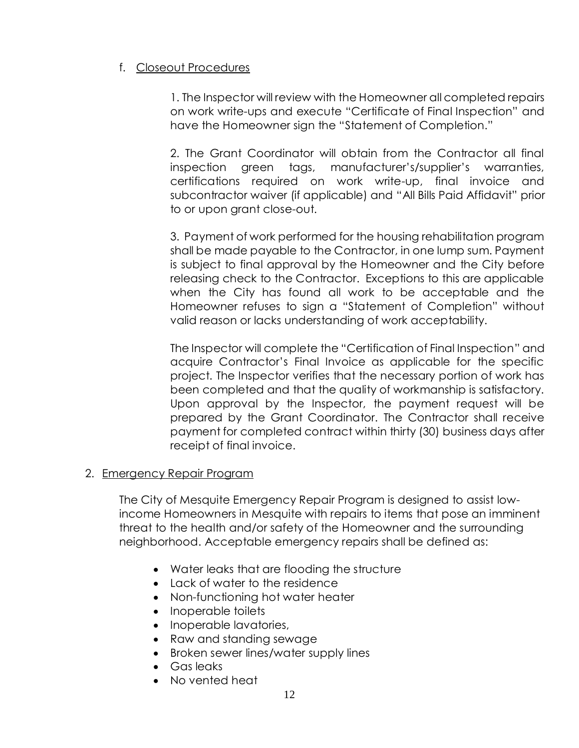#### f. Closeout Procedures

1. The Inspector will review with the Homeowner all completed repairs on work write-ups and execute "Certificate of Final Inspection" and have the Homeowner sign the "Statement of Completion."

2. The Grant Coordinator will obtain from the Contractor all final inspection green tags, manufacturer's/supplier's warranties, certifications required on work write-up, final invoice and subcontractor waiver (if applicable) and "All Bills Paid Affidavit" prior to or upon grant close-out.

3. Payment of work performed for the housing rehabilitation program shall be made payable to the Contractor, in one lump sum. Payment is subject to final approval by the Homeowner and the City before releasing check to the Contractor. Exceptions to this are applicable when the City has found all work to be acceptable and the Homeowner refuses to sign a "Statement of Completion" without valid reason or lacks understanding of work acceptability.

The Inspector will complete the "Certification of Final Inspection" and acquire Contractor's Final Invoice as applicable for the specific project. The Inspector verifies that the necessary portion of work has been completed and that the quality of workmanship is satisfactory. Upon approval by the Inspector, the payment request will be prepared by the Grant Coordinator. The Contractor shall receive payment for completed contract within thirty (30) business days after receipt of final invoice.

#### 2. Emergency Repair Program

The City of Mesquite Emergency Repair Program is designed to assist lowincome Homeowners in Mesquite with repairs to items that pose an imminent threat to the health and/or safety of the Homeowner and the surrounding neighborhood. Acceptable emergency repairs shall be defined as:

- Water leaks that are flooding the structure
- Lack of water to the residence
- Non-functioning hot water heater
- Inoperable toilets
- Inoperable lavatories,
- Raw and standing sewage
- Broken sewer lines/water supply lines
- Gas leaks
- No vented heat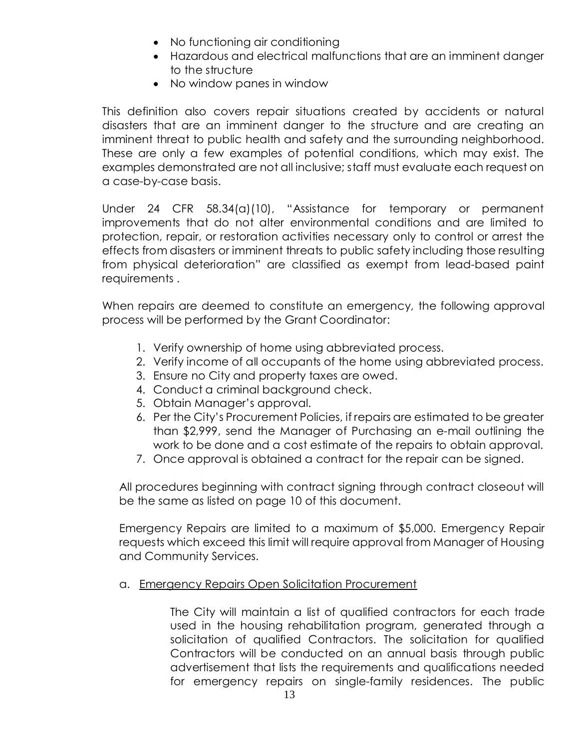- No functioning air conditioning
- Hazardous and electrical malfunctions that are an imminent danger to the structure
- No window panes in window

This definition also covers repair situations created by accidents or natural disasters that are an imminent danger to the structure and are creating an imminent threat to public health and safety and the surrounding neighborhood. These are only a few examples of potential conditions, which may exist. The examples demonstrated are not all inclusive; staff must evaluate each request on a case-by-case basis.

Under 24 CFR 58.34(a)(10), "Assistance for temporary or permanent improvements that do not alter environmental conditions and are limited to protection, repair, or restoration activities necessary only to control or arrest the effects from disasters or imminent threats to public safety including those resulting from physical deterioration" are classified as exempt from lead-based paint requirements .

When repairs are deemed to constitute an emergency, the following approval process will be performed by the Grant Coordinator:

- 1. Verify ownership of home using abbreviated process.
- 2. Verify income of all occupants of the home using abbreviated process.
- 3. Ensure no City and property taxes are owed.
- 4. Conduct a criminal background check.
- 5. Obtain Manager's approval.
- 6. Per the City's Procurement Policies, if repairs are estimated to be greater than \$2,999, send the Manager of Purchasing an e-mail outlining the work to be done and a cost estimate of the repairs to obtain approval.
- 7. Once approval is obtained a contract for the repair can be signed.

All procedures beginning with contract signing through contract closeout will be the same as listed on page 10 of this document.

Emergency Repairs are limited to a maximum of \$5,000. Emergency Repair requests which exceed this limit will require approval from Manager of Housing and Community Services.

#### a. Emergency Repairs Open Solicitation Procurement

The City will maintain a list of qualified contractors for each trade used in the housing rehabilitation program, generated through a solicitation of qualified Contractors. The solicitation for qualified Contractors will be conducted on an annual basis through public advertisement that lists the requirements and qualifications needed for emergency repairs on single-family residences. The public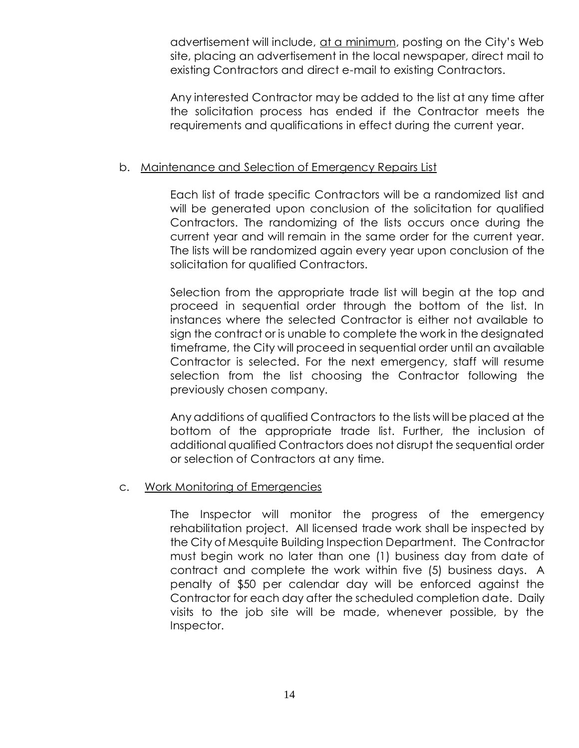advertisement will include, at a minimum, posting on the City's Web site, placing an advertisement in the local newspaper, direct mail to existing Contractors and direct e-mail to existing Contractors.

Any interested Contractor may be added to the list at any time after the solicitation process has ended if the Contractor meets the requirements and qualifications in effect during the current year.

#### b. Maintenance and Selection of Emergency Repairs List

Each list of trade specific Contractors will be a randomized list and will be generated upon conclusion of the solicitation for qualified Contractors. The randomizing of the lists occurs once during the current year and will remain in the same order for the current year. The lists will be randomized again every year upon conclusion of the solicitation for qualified Contractors.

Selection from the appropriate trade list will begin at the top and proceed in sequential order through the bottom of the list. In instances where the selected Contractor is either not available to sign the contract or is unable to complete the work in the designated timeframe, the City will proceed in sequential order until an available Contractor is selected. For the next emergency, staff will resume selection from the list choosing the Contractor following the previously chosen company.

Any additions of qualified Contractors to the lists will be placed at the bottom of the appropriate trade list. Further, the inclusion of additional qualified Contractors does not disrupt the sequential order or selection of Contractors at any time.

#### c. Work Monitoring of Emergencies

The Inspector will monitor the progress of the emergency rehabilitation project. All licensed trade work shall be inspected by the City of Mesquite Building Inspection Department. The Contractor must begin work no later than one (1) business day from date of contract and complete the work within five (5) business days. A penalty of \$50 per calendar day will be enforced against the Contractor for each day after the scheduled completion date.Daily visits to the job site will be made, whenever possible, by the Inspector.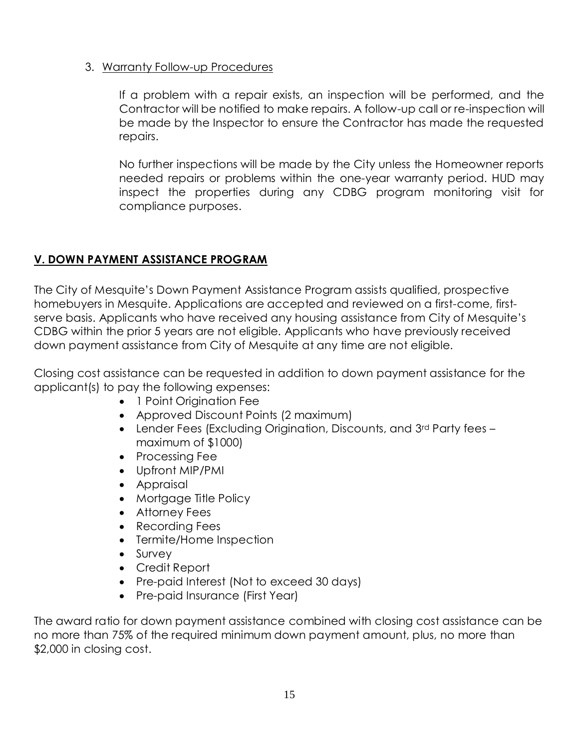# 3. Warranty Follow-up Procedures

If a problem with a repair exists, an inspection will be performed, and the Contractor will be notified to make repairs. A follow-up call or re-inspection will be made by the Inspector to ensure the Contractor has made the requested repairs.

No further inspections will be made by the City unless the Homeowner reports needed repairs or problems within the one-year warranty period. HUD may inspect the properties during any CDBG program monitoring visit for compliance purposes.

# **V. DOWN PAYMENT ASSISTANCE PROGRAM**

The City of Mesquite's Down Payment Assistance Program assists qualified, prospective homebuyers in Mesquite. Applications are accepted and reviewed on a first-come, firstserve basis. Applicants who have received any housing assistance from City of Mesquite's CDBG within the prior 5 years are not eligible. Applicants who have previously received down payment assistance from City of Mesquite at any time are not eligible.

Closing cost assistance can be requested in addition to down payment assistance for the applicant(s) to pay the following expenses:

- 1 Point Origination Fee
- Approved Discount Points (2 maximum)
- Lender Fees (Excluding Origination, Discounts, and 3rd Party fees maximum of \$1000)
- Processing Fee
- Upfront MIP/PMI
- Appraisal
- Mortgage Title Policy
- Attorney Fees
- Recording Fees
- Termite/Home Inspection
- Survey
- Credit Report
- Pre-paid Interest (Not to exceed 30 days)
- Pre-paid Insurance (First Year)

The award ratio for down payment assistance combined with closing cost assistance can be no more than 75% of the required minimum down payment amount, plus, no more than \$2,000 in closing cost.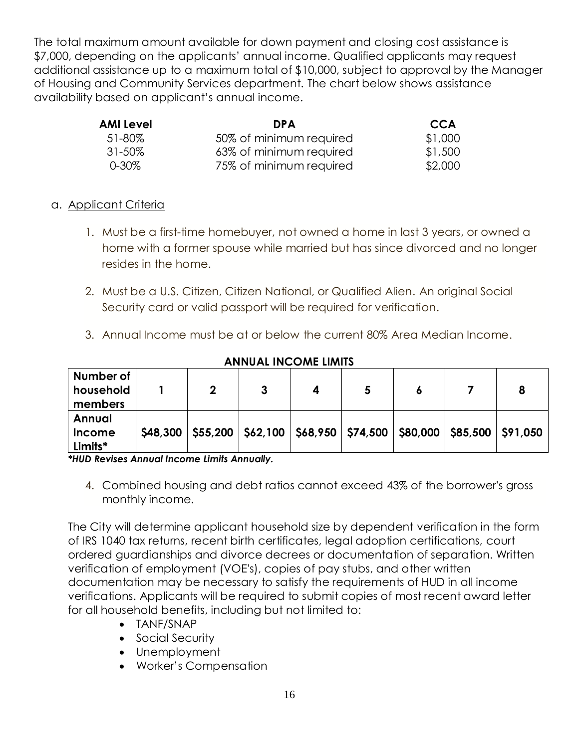The total maximum amount available for down payment and closing cost assistance is \$7,000, depending on the applicants' annual income. Qualified applicants may request additional assistance up to a maximum total of \$10,000, subject to approval by the Manager of Housing and Community Services department. The chart below shows assistance availability based on applicant's annual income.

| AMI Level   | <b>DPA</b>              | <b>CCA</b> |
|-------------|-------------------------|------------|
| 51-80%      | 50% of minimum required | \$1,000    |
| $31 - 50\%$ | 63% of minimum required | \$1,500    |
| 0-30%       | 75% of minimum required | \$2,000    |

# a. Applicant Criteria

- 1. Must be a first-time homebuyer, not owned a home in last 3 years, or owned a home with a former spouse while married but has since divorced and no longer resides in the home.
- 2. Must be a U.S. Citizen, Citizen National, or Qualified Alien. An original Social Security card or valid passport will be required for verification.
- 3. Annual Income must be at or below the current 80% Area Median Income.

| Number of<br>household<br>members |          | າ | 3                                                                          |  |  |  |
|-----------------------------------|----------|---|----------------------------------------------------------------------------|--|--|--|
|                                   |          |   |                                                                            |  |  |  |
| Annual                            |          |   |                                                                            |  |  |  |
| <b>Income</b>                     | \$48,300 |   | \$55,200   \$62,100   \$68,950   \$74,500   \$80,000   \$85,500   \$91,050 |  |  |  |
| Limits*                           |          |   |                                                                            |  |  |  |

#### **ANNUAL INCOME LIMITS**

*\*HUD Revises Annual Income Limits Annually.*

4. Combined housing and debt ratios cannot exceed 43% of the borrower's gross monthly income.

The City will determine applicant household size by dependent verification in the form of IRS 1040 tax returns, recent birth certificates, legal adoption certifications, court ordered guardianships and divorce decrees or documentation of separation. Written verification of employment (VOE's), copies of pay stubs, and other written documentation may be necessary to satisfy the requirements of HUD in all income verifications. Applicants will be required to submit copies of most recent award letter for all household benefits, including but not limited to:

- TANF/SNAP
- Social Security
- Unemployment
- Worker's Compensation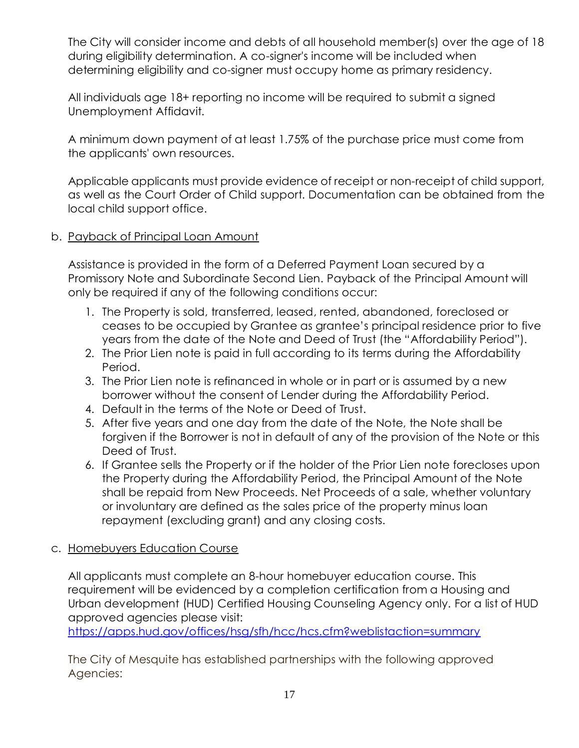The City will consider income and debts of all household member(s) over the age of 18 during eligibility determination. A co-signer's income will be included when determining eligibility and co-signer must occupy home as primary residency.

All individuals age 18+ reporting no income will be required to submit a signed Unemployment Affidavit.

A minimum down payment of at least 1.75% of the purchase price must come from the applicants' own resources.

Applicable applicants must provide evidence of receipt or non-receipt of child support, as well as the Court Order of Child support. Documentation can be obtained from the local child support office.

# b. Payback of Principal Loan Amount

Assistance is provided in the form of a Deferred Payment Loan secured by a Promissory Note and Subordinate Second Lien. Payback of the Principal Amount will only be required if any of the following conditions occur:

- 1. The Property is sold, transferred, leased, rented, abandoned, foreclosed or ceases to be occupied by Grantee as grantee's principal residence prior to five years from the date of the Note and Deed of Trust (the "Affordability Period").
- 2. The Prior Lien note is paid in full according to its terms during the Affordability Period.
- 3. The Prior Lien note is refinanced in whole or in part or is assumed by a new borrower without the consent of Lender during the Affordability Period.
- 4. Default in the terms of the Note or Deed of Trust.
- 5. After five years and one day from the date of the Note, the Note shall be forgiven if the Borrower is not in default of any of the provision of the Note or this Deed of Trust.
- 6. If Grantee sells the Property or if the holder of the Prior Lien note forecloses upon the Property during the Affordability Period, the Principal Amount of the Note shall be repaid from New Proceeds. Net Proceeds of a sale, whether voluntary or involuntary are defined as the sales price of the property minus loan repayment (excluding grant) and any closing costs.

# c. Homebuyers Education Course

All applicants must complete an 8-hour homebuyer education course. This requirement will be evidenced by a completion certification from a Housing and Urban development (HUD) Certified Housing Counseling Agency only. For a list of HUD approved agencies please visit:

<https://apps.hud.gov/offices/hsg/sfh/hcc/hcs.cfm?weblistaction=summary>

The City of Mesquite has established partnerships with the following approved Agencies: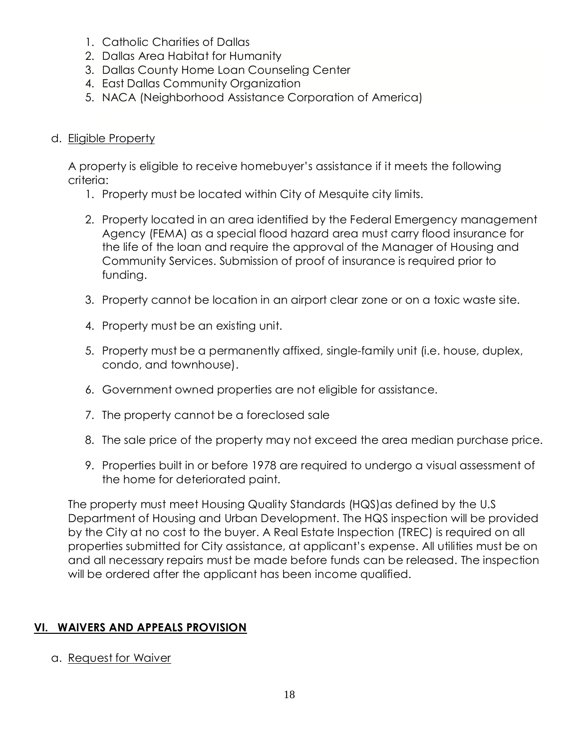- 1. Catholic Charities of Dallas
- 2. Dallas Area Habitat for Humanity
- 3. Dallas County Home Loan Counseling Center
- 4. East Dallas Community Organization
- 5. NACA (Neighborhood Assistance Corporation of America)
- d. Eligible Property

A property is eligible to receive homebuyer's assistance if it meets the following criteria:

- 1. Property must be located within City of Mesquite city limits.
- 2. Property located in an area identified by the Federal Emergency management Agency (FEMA) as a special flood hazard area must carry flood insurance for the life of the loan and require the approval of the Manager of Housing and Community Services. Submission of proof of insurance is required prior to funding.
- 3. Property cannot be location in an airport clear zone or on a toxic waste site.
- 4. Property must be an existing unit.
- 5. Property must be a permanently affixed, single-family unit (i.e. house, duplex, condo, and townhouse).
- 6. Government owned properties are not eligible for assistance.
- 7. The property cannot be a foreclosed sale
- 8. The sale price of the property may not exceed the area median purchase price.
- 9. Properties built in or before 1978 are required to undergo a visual assessment of the home for deteriorated paint.

The property must meet Housing Quality Standards (HQS) as defined by the U.S Department of Housing and Urban Development. The HQS inspection will be provided by the City at no cost to the buyer. A Real Estate Inspection (TREC) is required on all properties submitted for City assistance, at applicant's expense. All utilities must be on and all necessary repairs must be made before funds can be released. The inspection will be ordered after the applicant has been income qualified.

# **VI. WAIVERS AND APPEALS PROVISION**

a. Request for Waiver